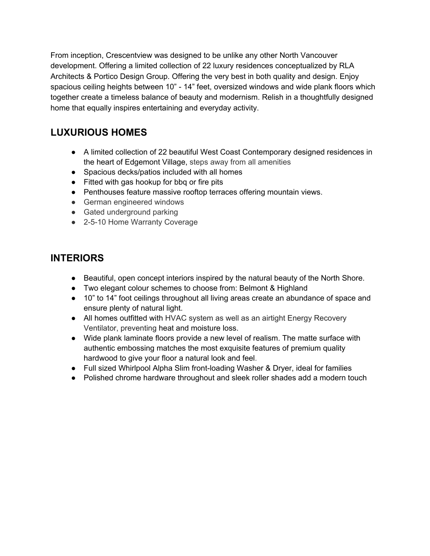From inception, Crescentview was designed to be unlike any other North Vancouver development. Offering a limited collection of 22 luxury residences conceptualized by RLA Architects & Portico Design Group. Offering the very best in both quality and design. Enjoy spacious ceiling heights between 10" - 14" feet, oversized windows and wide plank floors which together create a timeless balance of beauty and modernism. Relish in a thoughtfully designed home that equally inspires entertaining and everyday activity.

## **LUXURIOUS HOMES**

- A limited collection of 22 beautiful West Coast Contemporary designed residences in the heart of Edgemont Village, steps away from all amenities
- Spacious decks/patios included with all homes
- Fitted with gas hookup for bbq or fire pits
- Penthouses feature massive rooftop terraces offering mountain views.
- German engineered windows
- Gated underground parking
- 2-5-10 Home Warranty Coverage

## **INTERIORS**

- Beautiful, open concept interiors inspired by the natural beauty of the North Shore.
- Two elegant colour schemes to choose from: Belmont & Highland
- 10" to 14" foot ceilings throughout all living areas create an abundance of space and ensure plenty of natural light.
- All homes outfitted with HVAC system as well as an airtight Energy Recovery Ventilator, preventing heat and moisture loss.
- Wide plank laminate floors provide a new level of realism. The matte surface with authentic embossing matches the most exquisite features of premium quality hardwood to give your floor a natural look and feel.
- Full sized Whirlpool Alpha Slim front-loading Washer & Dryer, ideal for families
- Polished chrome hardware throughout and sleek roller shades add a modern touch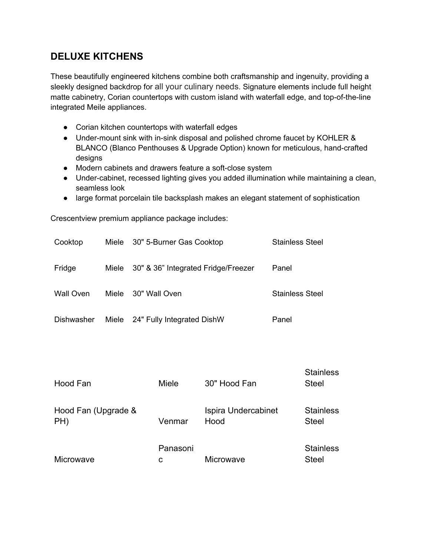## **DELUXE KITCHENS**

These beautifully engineered kitchens combine both craftsmanship and ingenuity, providing a sleekly designed backdrop for all your culinary needs. Signature elements include full height matte cabinetry, Corian countertops with custom island with waterfall edge, and top-of-the-line integrated Meile appliances.

- Corian kitchen countertops with waterfall edges
- Under-mount sink with in-sink disposal and polished chrome faucet by KOHLER & BLANCO (Blanco Penthouses & Upgrade Option) known for meticulous, hand-crafted designs
- Modern cabinets and drawers feature a soft-close system
- Under-cabinet, recessed lighting gives you added illumination while maintaining a clean, seamless look
- large format porcelain tile backsplash makes an elegant statement of sophistication

Crescentview premium appliance package includes:

| Cooktop          | Miele 30" 5-Burner Gas Cooktop            | <b>Stainless Steel</b> |
|------------------|-------------------------------------------|------------------------|
| Fridge           | Miele 30" & 36" Integrated Fridge/Freezer | Panel                  |
| <b>Wall Oven</b> | Miele 30" Wall Oven                       | <b>Stainless Steel</b> |
| Dishwasher       | Miele 24" Fully Integrated DishW          | Panel                  |

| Hood Fan                   | Miele         | 30" Hood Fan                       | <b>Stainless</b><br><b>Steel</b> |
|----------------------------|---------------|------------------------------------|----------------------------------|
| Hood Fan (Upgrade &<br>PH) | Venmar        | <b>Ispira Undercabinet</b><br>Hood | <b>Stainless</b><br><b>Steel</b> |
| Microwave                  | Panasoni<br>C | Microwave                          | <b>Stainless</b><br><b>Steel</b> |